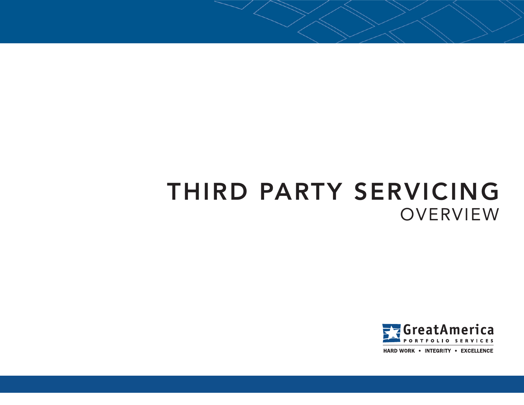# THIRD PARTY SERVICING **OVERVIEW**

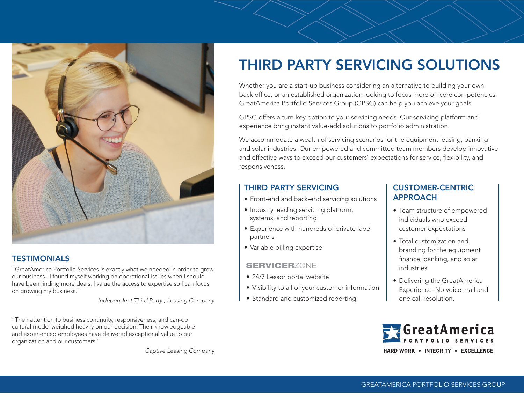

#### **TESTIMONIALS**

"GreatAmerica Portfolio Services is exactly what we needed in order to grow our business. I found myself working on operational issues when I should have been finding more deals. I value the access to expertise so I can focus on growing my business."

*Independent Third Party , Leasing Company*

"Their attention to business continuity, responsiveness, and can-do cultural model weighed heavily on our decision. Their knowledgeable and experienced employees have delivered exceptional value to our organization and our customers."

*Captive Leasing Company*

## THIRD PARTY SERVICING SOLUTIONS

Whether you are a start-up business considering an alternative to building your own back office, or an established organization looking to focus more on core competencies, GreatAmerica Portfolio Services Group (GPSG) can help you achieve your goals.

GPSG offers a turn-key option to your servicing needs. Our servicing platform and experience bring instant value-add solutions to portfolio administration.

We accommodate a wealth of servicing scenarios for the equipment leasing, banking and solar industries. Our empowered and committed team members develop innovative and effective ways to exceed our customers' expectations for service, flexibility, and responsiveness.

#### THIRD PARTY SERVICING

- Front-end and back-end servicing solutions
- Industry leading servicing platform, systems, and reporting
- Experience with hundreds of private label partners
- Variable billing expertise

#### **SERVICERZONE**

- 24/7 Lessor portal website
- Visibility to all of your customer information
- Standard and customized reporting

#### CUSTOMER-CENTRIC APPROACH

- Team structure of empowered individuals who exceed customer expectations
- Total customization and branding for the equipment finance, banking, and solar industries
- Delivering the GreatAmerica Experience–No voice mail and one call resolution.